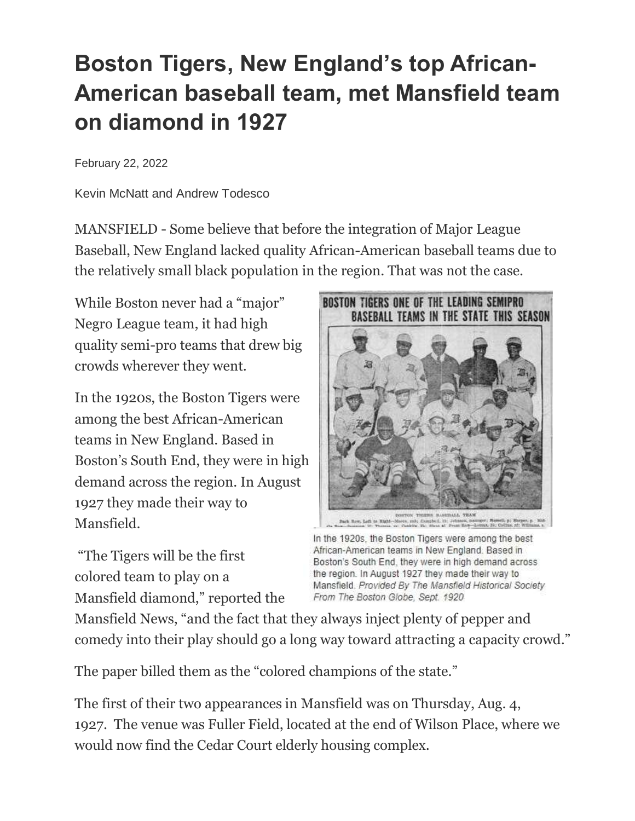## **Boston Tigers, New England's top African-American baseball team, met Mansfield team on diamond in 1927**

February 22, 2022

Kevin McNatt and Andrew Todesco

MANSFIELD - Some believe that before the integration of Major League Baseball, New England lacked quality African-American baseball teams due to the relatively small black population in the region. That was not the case.

While Boston never had a "major" Negro League team, it had high quality semi-pro teams that drew big crowds wherever they went.

In the 1920s, the Boston Tigers were among the best African-American teams in New England. Based in Boston's South End, they were in high demand across the region. In August 1927 they made their way to Mansfield.

"The Tigers will be the first colored team to play on a Mansfield diamond," reported the



does, rate Complett, 15; 2-5:000, 2<br>C Contine The Mirro of Press Bank

In the 1920s, the Boston Tigers were among the best African-American teams in New England. Based in Boston's South End, they were in high demand across the region. In August 1927 they made their way to Mansfield. Provided By The Mansfield Historical Society From The Boston Globe, Sept. 1920

Mansfield News, "and the fact that they always inject plenty of pepper and comedy into their play should go a long way toward attracting a capacity crowd."

The paper billed them as the "colored champions of the state."

The first of their two appearances in Mansfield was on Thursday, Aug. 4, 1927. The venue was Fuller Field, located at the end of Wilson Place, where we would now find the Cedar Court elderly housing complex.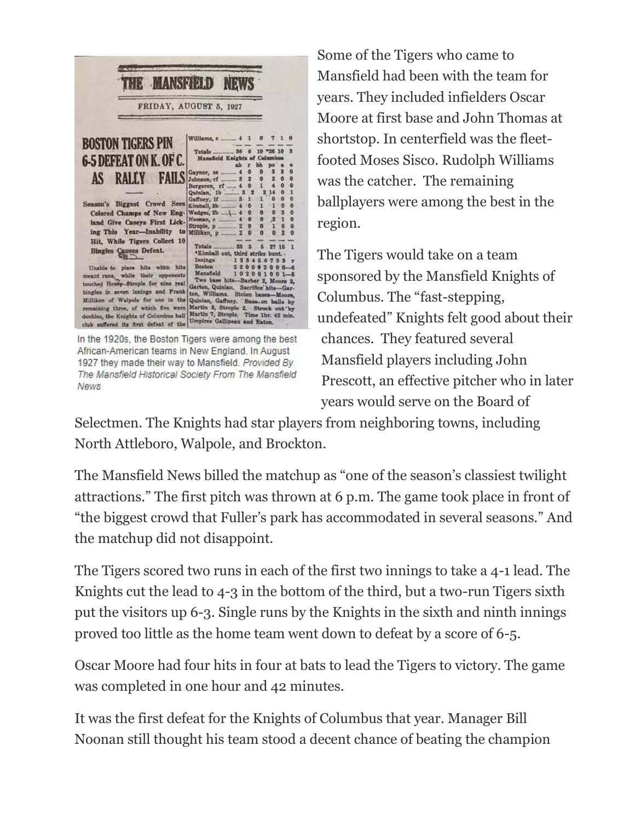

African-American teams in New England. In August 1927 they made their way to Mansfield. Provided By The Mansfield Historical Society From The Mansfield News

Some of the Tigers who came to Mansfield had been with the team for years. They included infielders Oscar Moore at first base and John Thomas at shortstop. In centerfield was the fleetfooted Moses Sisco. Rudolph Williams was the catcher. The remaining ballplayers were among the best in the region.

The Tigers would take on a team sponsored by the Mansfield Knights of Columbus. The "fast-stepping, undefeated" Knights felt good about their chances. They featured several Mansfield players including John Prescott, an effective pitcher who in later years would serve on the Board of

Selectmen. The Knights had star players from neighboring towns, including North Attleboro, Walpole, and Brockton.

The Mansfield News billed the matchup as "one of the season's classiest twilight attractions." The first pitch was thrown at 6 p.m. The game took place in front of "the biggest crowd that Fuller's park has accommodated in several seasons." And the matchup did not disappoint.

The Tigers scored two runs in each of the first two innings to take a 4-1 lead. The Knights cut the lead to 4-3 in the bottom of the third, but a two-run Tigers sixth put the visitors up 6-3. Single runs by the Knights in the sixth and ninth innings proved too little as the home team went down to defeat by a score of 6-5.

Oscar Moore had four hits in four at bats to lead the Tigers to victory. The game was completed in one hour and 42 minutes.

It was the first defeat for the Knights of Columbus that year. Manager Bill Noonan still thought his team stood a decent chance of beating the champion